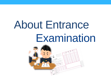# About Entrance Examination

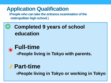## **Application Qualification**

(**People who can take the entrance examination of the metropolitan high school )**

## ◎ **Completed 9 years of school education**

## **Full-time**

**=People living in Tokyo with parents.**

## **Part-time =People living in Tokyo or working in Tokyo**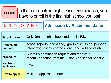**Important!!**

In the metropolitan high school examination, you have to enroll in the first high school you path.

#### 1/26 (Thu)・27(Fri)

#### **Admission by Recommendation**

| Target of exam.                | Only Junior high school students in Tokyo.                                                                     |
|--------------------------------|----------------------------------------------------------------------------------------------------------------|
| <b>Admission</b><br>method     | school reports (chōsasho), group discussion, personal<br>interviews, essay compositions, and skills tests etc. |
| procedure                      | Submit a nomination request and receive a<br>recommendation from the junior high school principal.             |
| <b>Number of</b><br>applicants | Few.                                                                                                           |
| How to apply                   | Mail the application form.                                                                                     |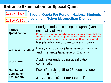#### **Entrance Examination for Special Quota**

|  | $1/26$ (Thu)<br>$2/15$ (Wed)                         | <b>Special Quota For Foreign National Students</b><br>residing in Tokyo Metropolitan District.                                                                                                                                                                                                                                          |
|--|------------------------------------------------------|-----------------------------------------------------------------------------------------------------------------------------------------------------------------------------------------------------------------------------------------------------------------------------------------------------------------------------------------|
|  | Target/<br><b>Qualification</b>                      | Foreign students coming to Japan (Dual<br>nationality allowed)<br>(* Third-year junior high school students in Japan are eligible for those<br>who have come to Japan for up to three years. There is no limit to the<br>number of years for those who have graduated from a local school.)<br>People who live or plan to live in Tokyo |
|  | <b>Admission method</b>                              | <b>Essay composition (Japanese or English)</b><br>and Interview(Japanese or English)                                                                                                                                                                                                                                                    |
|  | procedure                                            | Apply after undergoing qualification<br>confirmation.                                                                                                                                                                                                                                                                                   |
|  | <b>Number of</b><br>applicants/<br><b>Test month</b> | Few. (Recruiting 15 to 25 people at one<br>school)<br>Jan(7 schools) Feb(1 school)                                                                                                                                                                                                                                                      |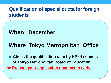### **Qualification of special quota for foreign students**

## **When**: **December**

## **Where**:**Tokyo Metropolitan Office**

★ **Check the qualification date by HP of schools or Tokyo Metropolitan Board of Education.** ★ **Prepare your application documents early.**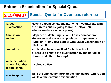#### **Entrance Examination for Special Quota**

#### **Special Quota for Overseas returnee 2/15**(**We**d)

| Target/<br><b>Qualification</b>                          | Having Japanese nationality, living (lived)abroad with<br>the parents and is going to live in Tokyo until<br>admission date. (include plans)                                               |
|----------------------------------------------------------|--------------------------------------------------------------------------------------------------------------------------------------------------------------------------------------------|
| <b>Admission</b><br>method                               | <b>-Japanese Math - English and Essay composition.</b><br>. Interview and essay composition in Japanese or<br><b>English. (For Local School Graduates Examination of</b><br>Kokusai H. S.) |
| procedure                                                | Apply after being qualified for high school.<br>(There is a limit to the qualification by the period of<br>abroad and after returning)                                                     |
| <b>Implementation</b><br>schools/Number<br>of applicants | 4 schools / Few                                                                                                                                                                            |
| How to apply                                             | Take the application form to the high school where you<br>will take the entrance examination.                                                                                              |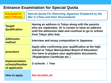#### **Entrance Examination for Special Quota**

| <b>Scheduled for</b><br>early February                   | <b>Special Quota For Returning Japanese Displaced by the</b><br><b>War in China and their Descendants</b>                                                                                       |  |
|----------------------------------------------------------|-------------------------------------------------------------------------------------------------------------------------------------------------------------------------------------------------|--|
| Target/<br><b>Qualification</b>                          | Having an address in Tokyo along with the parents<br>who are repatriates. Or is certain to have an address<br>until the admission date and continue to go to school<br>from Tokyo after that.   |  |
| <b>Admission</b><br>method                               | Interview and essay composition in Japanese.                                                                                                                                                    |  |
| procedure                                                | Apply after confirming your qualification at the high<br>school or Tokyo Metropolitan Board of Education.<br>You have to prepare your application documents.<br>(Repatriation Certificate etc.) |  |
| <b>Implementation</b><br>schools/Number<br>of applicants | 3 schools / Few                                                                                                                                                                                 |  |
| How to apply                                             | Not decided yet                                                                                                                                                                                 |  |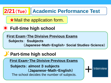

**Interview** 

**First Exam**・**The Divisive Previous Exams**

**Subjects**: **almost** 3 **subjects** (**Japanese**・**Math**・**English**) The school decides the number of subjects.